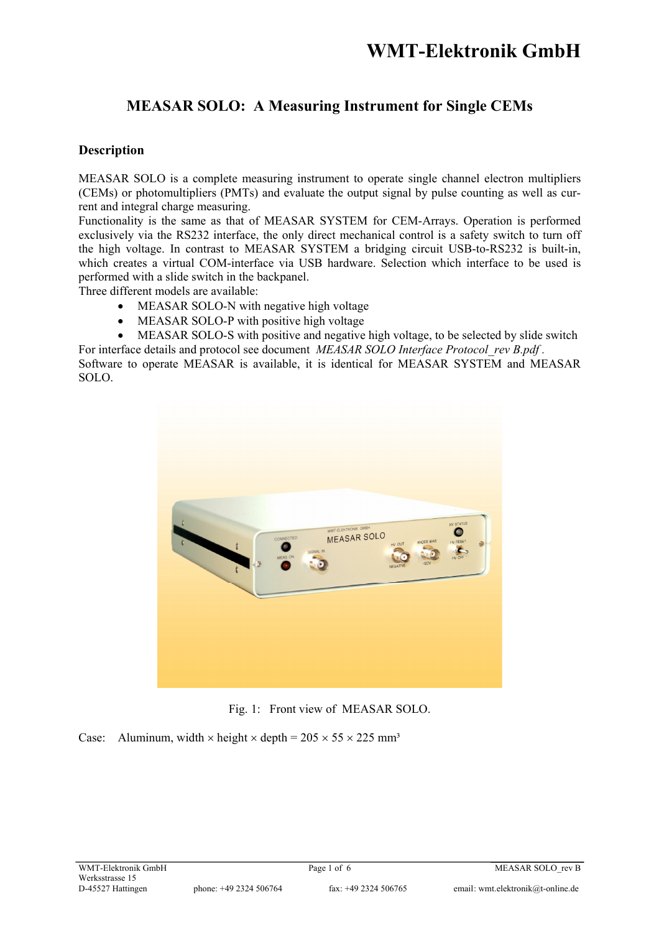### **MEASAR SOLO: A Measuring Instrument for Single CEMs**

### **Description**

MEASAR SOLO is a complete measuring instrument to operate single channel electron multipliers (CEMs) or photomultipliers (PMTs) and evaluate the output signal by pulse counting as well as current and integral charge measuring.

Functionality is the same as that of MEASAR SYSTEM for CEM-Arrays. Operation is performed exclusively via the RS232 interface, the only direct mechanical control is a safety switch to turn off the high voltage. In contrast to MEASAR SYSTEM a bridging circuit USB-to-RS232 is built-in, which creates a virtual COM-interface via USB hardware. Selection which interface to be used is performed with a slide switch in the backpanel.

Three different models are available:

- MEASAR SOLO-N with negative high voltage
- MEASAR SOLO-P with positive high voltage
- MEASAR SOLO-S with positive and negative high voltage, to be selected by slide switch For interface details and protocol see document *MEASAR SOLO Interface Protocol\_rev B.pdf .*

Software to operate MEASAR is available, it is identical for MEASAR SYSTEM and MEASAR SOLO.



Fig. 1: Front view of MEASAR SOLO.

Case: Aluminum, width  $\times$  height  $\times$  depth = 205  $\times$  55  $\times$  225 mm<sup>3</sup>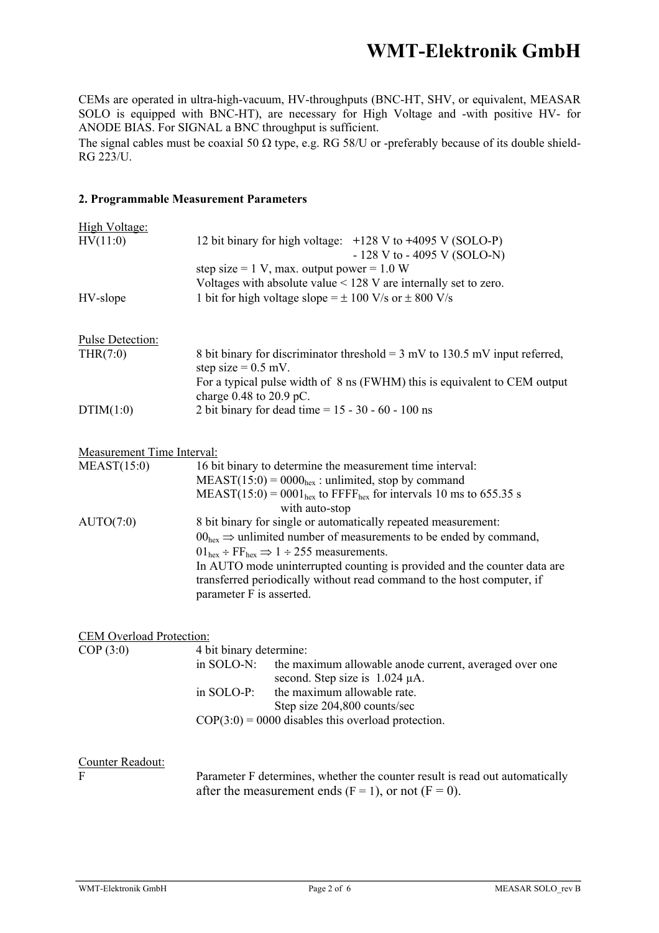CEMs are operated in ultra-high-vacuum, HV-throughputs (BNC-HT, SHV, or equivalent, MEASAR SOLO is equipped with BNC-HT), are necessary for High Voltage and -with positive HV- for ANODE BIAS. For SIGNAL a BNC throughput is sufficient.

The signal cables must be coaxial 50  $\Omega$  type, e.g. RG 58/U or -preferably because of its double shield-RG 223/U.

#### **2. Programmable Measurement Parameters**

| High Voltage:<br>HV(11:0)           | 12 bit binary for high voltage: +128 V to +4095 V (SOLO-P)<br>$-128$ V to $-4095$ V (SOLO-N)<br>step size = 1 V, max. output power = $1.0 W$<br>Voltages with absolute value $<$ 128 V are internally set to zero.                                                                                                                                                                                                       |  |
|-------------------------------------|--------------------------------------------------------------------------------------------------------------------------------------------------------------------------------------------------------------------------------------------------------------------------------------------------------------------------------------------------------------------------------------------------------------------------|--|
| HV-slope                            | 1 bit for high voltage slope = $\pm$ 100 V/s or $\pm$ 800 V/s                                                                                                                                                                                                                                                                                                                                                            |  |
| <b>Pulse Detection:</b><br>THR(7:0) | 8 bit binary for discriminator threshold = $3 \text{ mV}$ to 130.5 mV input referred,<br>step size = $0.5$ mV.<br>For a typical pulse width of 8 ns (FWHM) this is equivalent to CEM output                                                                                                                                                                                                                              |  |
| DTIM(1:0)                           | charge $0.48$ to $20.9$ pC.<br>2 bit binary for dead time = $15 - 30 - 60 - 100$ ns                                                                                                                                                                                                                                                                                                                                      |  |
| <b>Measurement Time Interval:</b>   |                                                                                                                                                                                                                                                                                                                                                                                                                          |  |
| MEAST(15:0)                         | 16 bit binary to determine the measurement time interval:<br>$MEAST(15:0) = 0000hex$ : unlimited, stop by command<br>$MEAST(15:0) = 0001hex$ to FFFF <sub>hex</sub> for intervals 10 ms to 655.35 s                                                                                                                                                                                                                      |  |
| AUTO(7:0)                           | with auto-stop<br>8 bit binary for single or automatically repeated measurement:<br>$00hex \Rightarrow$ unlimited number of measurements to be ended by command,<br>$01_{hex}$ ÷ FF <sub>hex</sub> $\Rightarrow$ 1 ÷ 255 measurements.<br>In AUTO mode uninterrupted counting is provided and the counter data are<br>transferred periodically without read command to the host computer, if<br>parameter F is asserted. |  |
| <b>CEM Overload Protection:</b>     |                                                                                                                                                                                                                                                                                                                                                                                                                          |  |
| COP(3:0)                            | 4 bit binary determine:<br>in SOLO-N:<br>the maximum allowable anode current, averaged over one<br>second. Step size is $1.024 \mu A$ .<br>in SOLO-P:<br>the maximum allowable rate.<br>Step size 204,800 counts/sec<br>$COP(3:0) = 0000$ disables this overload protection.                                                                                                                                             |  |
| Counter Readout:<br>$\overline{F}$  | Parameter F determines, whether the counter result is read out automatically<br>after the measurement ends $(F = 1)$ , or not $(F = 0)$ .                                                                                                                                                                                                                                                                                |  |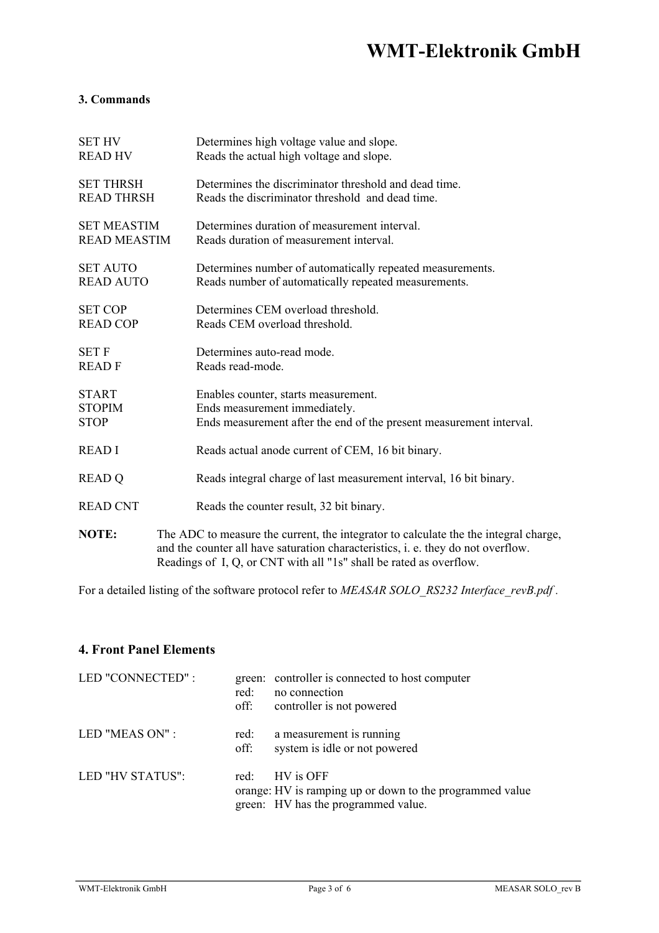### **3. Commands**

| <b>SET HV</b>       | Determines high voltage value and slope.                                                                                                                                                                                                       |
|---------------------|------------------------------------------------------------------------------------------------------------------------------------------------------------------------------------------------------------------------------------------------|
| <b>READ HV</b>      | Reads the actual high voltage and slope.                                                                                                                                                                                                       |
| <b>SET THRSH</b>    | Determines the discriminator threshold and dead time.                                                                                                                                                                                          |
| <b>READ THRSH</b>   | Reads the discriminator threshold and dead time.                                                                                                                                                                                               |
| <b>SET MEASTIM</b>  | Determines duration of measurement interval.                                                                                                                                                                                                   |
| <b>READ MEASTIM</b> | Reads duration of measurement interval.                                                                                                                                                                                                        |
| <b>SET AUTO</b>     | Determines number of automatically repeated measurements.                                                                                                                                                                                      |
| <b>READ AUTO</b>    | Reads number of automatically repeated measurements.                                                                                                                                                                                           |
| <b>SET COP</b>      | Determines CEM overload threshold.                                                                                                                                                                                                             |
| <b>READ COP</b>     | Reads CEM overload threshold.                                                                                                                                                                                                                  |
| <b>SET F</b>        | Determines auto-read mode.                                                                                                                                                                                                                     |
| <b>READF</b>        | Reads read-mode.                                                                                                                                                                                                                               |
| <b>START</b>        | Enables counter, starts measurement.                                                                                                                                                                                                           |
| <b>STOPIM</b>       | Ends measurement immediately.                                                                                                                                                                                                                  |
| <b>STOP</b>         | Ends measurement after the end of the present measurement interval.                                                                                                                                                                            |
| <b>READI</b>        | Reads actual anode current of CEM, 16 bit binary.                                                                                                                                                                                              |
| <b>READ Q</b>       | Reads integral charge of last measurement interval, 16 bit binary.                                                                                                                                                                             |
| <b>READ CNT</b>     | Reads the counter result, 32 bit binary.                                                                                                                                                                                                       |
| <b>NOTE:</b>        | The ADC to measure the current, the integrator to calculate the the integral charge,<br>and the counter all have saturation characteristics, i. e. they do not overflow.<br>Readings of I, Q, or CNT with all "1s" shall be rated as overflow. |

For a detailed listing of the software protocol refer to *MEASAR SOLO\_RS232 Interface\_revB.pdf*.

### **4. Front Panel Elements**

| LED "CONNECTED": | red:<br>off:     | green: controller is connected to host computer<br>no connection<br>controller is not powered                |
|------------------|------------------|--------------------------------------------------------------------------------------------------------------|
| LED "MEAS ON" :  | red:<br>off:     | a measurement is running<br>system is idle or not powered                                                    |
| LED "HV STATUS": | red <sup>-</sup> | HV is OFF<br>orange: HV is ramping up or down to the programmed value<br>green: HV has the programmed value. |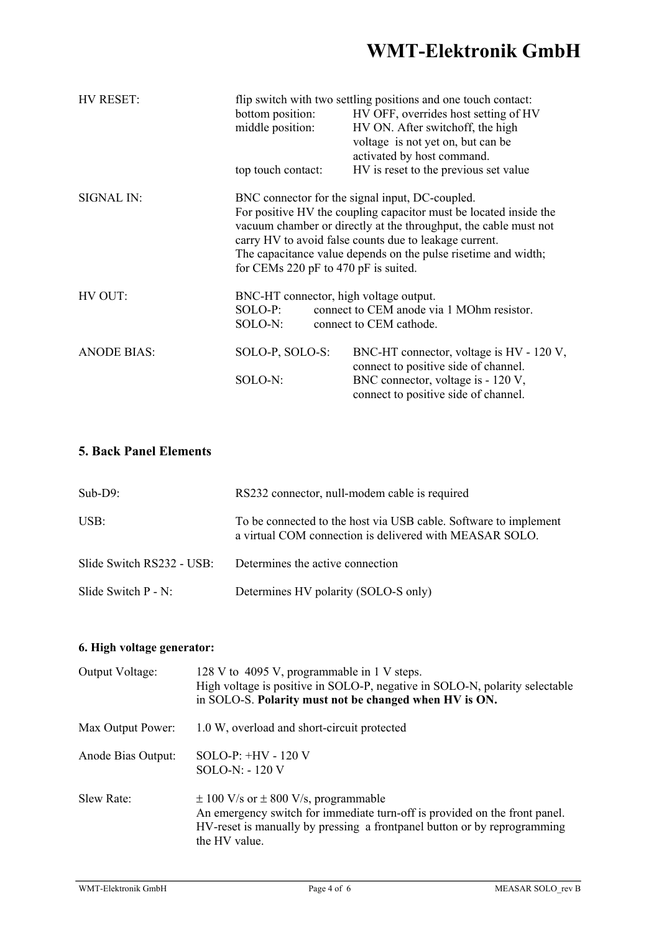| HV RESET:          | flip switch with two settling positions and one touch contact:    |                                                 |  |  |
|--------------------|-------------------------------------------------------------------|-------------------------------------------------|--|--|
|                    | bottom position:                                                  | HV OFF, overrides host setting of HV            |  |  |
|                    | middle position:                                                  | HV ON. After switchoff, the high                |  |  |
|                    |                                                                   | voltage is not yet on, but can be               |  |  |
|                    |                                                                   | activated by host command.                      |  |  |
|                    | top touch contact:                                                | HV is reset to the previous set value           |  |  |
| SIGNAL IN:         |                                                                   | BNC connector for the signal input, DC-coupled. |  |  |
|                    | For positive HV the coupling capacitor must be located inside the |                                                 |  |  |
|                    | vacuum chamber or directly at the throughput, the cable must not  |                                                 |  |  |
|                    | carry HV to avoid false counts due to leakage current.            |                                                 |  |  |
|                    | The capacitance value depends on the pulse risetime and width;    |                                                 |  |  |
|                    | for CEMs 220 pF to 470 pF is suited.                              |                                                 |  |  |
| HV OUT:            | BNC-HT connector, high voltage output.                            |                                                 |  |  |
|                    | SOLO-P:<br>connect to CEM anode via 1 MOhm resistor.              |                                                 |  |  |
|                    | SOLO-N:                                                           | connect to CEM cathode.                         |  |  |
| <b>ANODE BIAS:</b> | SOLO-P, SOLO-S:                                                   | BNC-HT connector, voltage is HV - 120 V,        |  |  |
|                    |                                                                   | connect to positive side of channel.            |  |  |
|                    | SOLO-N:                                                           | BNC connector, voltage is - 120 V,              |  |  |
|                    |                                                                   | connect to positive side of channel.            |  |  |

### **5. Back Panel Elements**

| $Sub-D9:$                 | RS232 connector, null-modem cable is required                                                                               |
|---------------------------|-----------------------------------------------------------------------------------------------------------------------------|
| USB:                      | To be connected to the host via USB cable. Software to implement<br>a virtual COM connection is delivered with MEASAR SOLO. |
| Slide Switch RS232 - USB: | Determines the active connection                                                                                            |
| Slide Switch $P - N$ :    | Determines HV polarity (SOLO-S only)                                                                                        |

### **6. High voltage generator:**

| Output Voltage:    | 128 V to 4095 V, programmable in 1 V steps.<br>High voltage is positive in SOLO-P, negative in SOLO-N, polarity selectable<br>in SOLO-S. Polarity must not be changed when HV is ON.                                    |
|--------------------|-------------------------------------------------------------------------------------------------------------------------------------------------------------------------------------------------------------------------|
| Max Output Power:  | 1.0 W, overload and short-circuit protected                                                                                                                                                                             |
| Anode Bias Output: | SOLO-P: $+HV - 120V$<br>$SOLO-N: -120 V$                                                                                                                                                                                |
| Slew Rate:         | $\pm$ 100 V/s or $\pm$ 800 V/s, programmable<br>An emergency switch for immediate turn-off is provided on the front panel.<br>HV-reset is manually by pressing a frontpanel button or by reprogramming<br>the HV value. |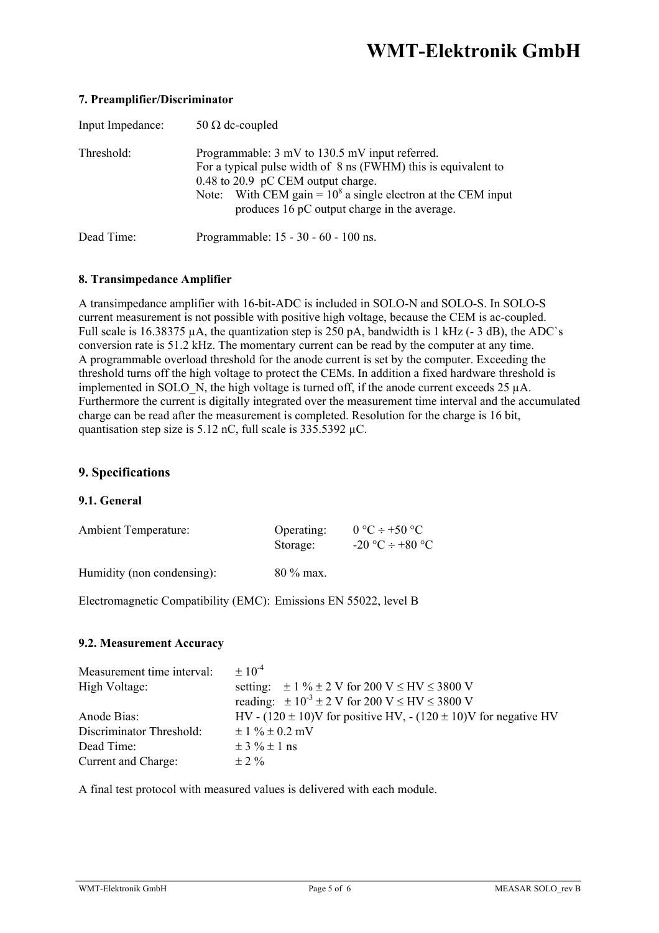| Input Impedance: | 50 $\Omega$ dc-coupled                                                                                                                                                                                                                                                    |
|------------------|---------------------------------------------------------------------------------------------------------------------------------------------------------------------------------------------------------------------------------------------------------------------------|
| Threshold:       | Programmable: 3 mV to 130.5 mV input referred.<br>For a typical pulse width of 8 ns (FWHM) this is equivalent to<br>0.48 to 20.9 pC CEM output charge.<br>Note: With CEM gain = $10^8$ a single electron at the CEM input<br>produces 16 pC output charge in the average. |
| Dead Time:       | Programmable: 15 - 30 - 60 - 100 ns.                                                                                                                                                                                                                                      |

### **7. Preamplifier/Discriminator**

### **8. Transimpedance Amplifier**

A transimpedance amplifier with 16-bit-ADC is included in SOLO-N and SOLO-S. In SOLO-S current measurement is not possible with positive high voltage, because the CEM is ac-coupled. Full scale is 16.38375 µA, the quantization step is 250 pA, bandwidth is 1 kHz (-3 dB), the ADC`s conversion rate is 51.2 kHz. The momentary current can be read by the computer at any time. A programmable overload threshold for the anode current is set by the computer. Exceeding the threshold turns off the high voltage to protect the CEMs. In addition a fixed hardware threshold is implemented in SOLO N, the high voltage is turned off, if the anode current exceeds 25 µA. Furthermore the current is digitally integrated over the measurement time interval and the accumulated charge can be read after the measurement is completed. Resolution for the charge is 16 bit, quantisation step size is 5.12 nC, full scale is  $335.5392 \mu C$ .

### **9. Specifications**

#### **9.1. General**

| <b>Ambient Temperature:</b> | Operating: | $0 °C \div 50 °C$      |
|-----------------------------|------------|------------------------|
|                             | Storage:   | $-20$ °C $\div$ +80 °C |
|                             |            |                        |

Humidity (non condensing): 80 % max.

Electromagnetic Compatibility (EMC): Emissions EN 55022, level B

### **9.2. Measurement Accuracy**

| Measurement time interval: | $\pm 10^{-4}$                                                             |
|----------------------------|---------------------------------------------------------------------------|
| High Voltage:              | setting: $\pm 1 \% \pm 2 V$ for 200 V $\leq$ HV $\leq$ 3800 V             |
|                            | reading: $\pm 10^{-3} \pm 2$ V for 200 V $\leq$ HV $\leq$ 3800 V          |
| Anode Bias:                | HV - $(120 \pm 10)$ V for positive HV, - $(120 \pm 10)$ V for negative HV |
| Discriminator Threshold:   | $\pm 1 \% \pm 0.2$ mV                                                     |
| Dead Time:                 | $\pm$ 3 % $\pm$ 1 ns                                                      |
| Current and Charge:        | $\pm$ 2 %                                                                 |

A final test protocol with measured values is delivered with each module.